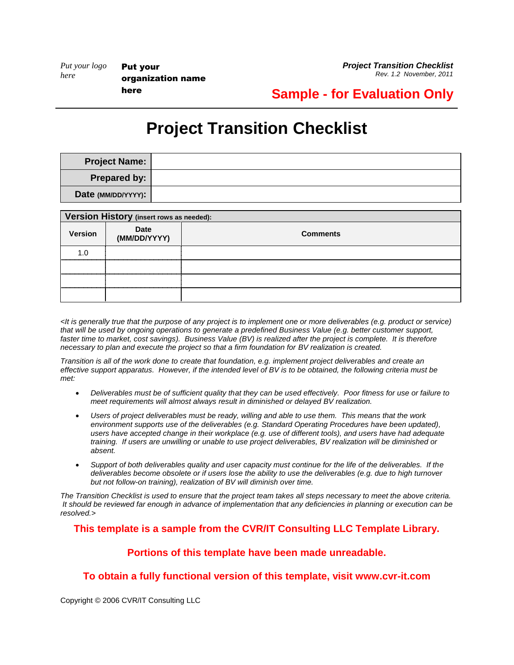*Project Transition Checklist Rev. 1.2 November, 2011*

### **Sample - for Evaluation Only**

# **Project Transition Checklist**

| <b>Project Name:</b> |  |
|----------------------|--|
| Prepared by:         |  |
| Date (MM/DD/YYYY):   |  |

| Version History (insert rows as needed): |                             |                 |
|------------------------------------------|-----------------------------|-----------------|
| <b>Version</b>                           | <b>Date</b><br>(MM/DD/YYYY) | <b>Comments</b> |
| 1. $\Omega$                              |                             |                 |
|                                          |                             |                 |
|                                          |                             |                 |
|                                          |                             |                 |

*<It is generally true that the purpose of any project is to implement one or more deliverables (e.g. product or service) that will be used by ongoing operations to generate a predefined Business Value (e.g. better customer support, faster time to market, cost savings). Business Value (BV) is realized after the project is complete. It is therefore necessary to plan and execute the project so that a firm foundation for BV realization is created.*

*Transition is all of the work done to create that foundation, e.g. implement project deliverables and create an effective support apparatus. However, if the intended level of BV is to be obtained, the following criteria must be met:*

- *Deliverables must be of sufficient quality that they can be used effectively. Poor fitness for use or failure to meet requirements will almost always result in diminished or delayed BV realization.*
- *Users of project deliverables must be ready, willing and able to use them. This means that the work environment supports use of the deliverables (e.g. Standard Operating Procedures have been updated), users have accepted change in their workplace (e.g. use of different tools), and users have had adequate training. If users are unwilling or unable to use project deliverables, BV realization will be diminished or absent.*
- *Support of both deliverables quality and user capacity must continue for the life of the deliverables. If the deliverables become obsolete or if users lose the ability to use the deliverables (e.g. due to high turnover but not follow-on training), realization of BV will diminish over time.*

*The Transition Checklist is used to ensure that the project team takes all steps necessary to meet the above criteria. It should be reviewed far enough in advance of implementation that any deficiencies in planning or execution can be resolved.>*

#### **This template is a sample from the CVR/IT Consulting LLC Template Library.**

### **Portions of this template have been made unreadable.**

### **To obtain a fully functional version of this template, visit www.cvr-it.com**

Copyright © 2006 CVR/IT Consulting LLC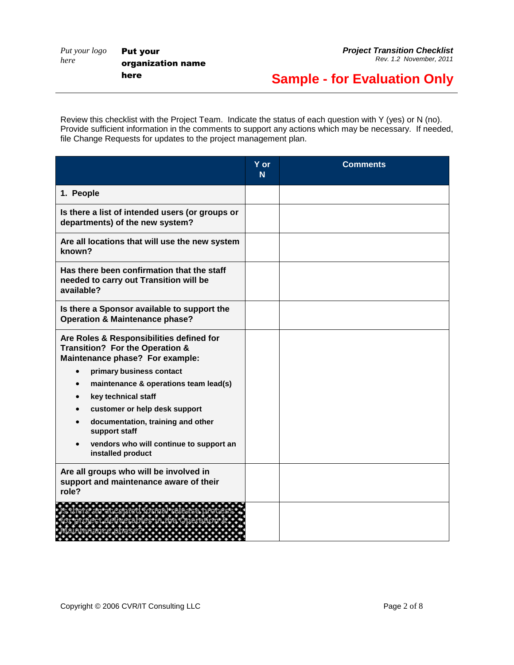Put your organization name here

## **Sample - for Evaluation Only**

Review this checklist with the Project Team. Indicate the status of each question with Y (yes) or N (no). Provide sufficient information in the comments to support any actions which may be necessary. If needed, file Change Requests for updates to the project management plan.

|                                                                                                                | $Y$ or<br>N <sub>1</sub> | <b>Comments</b> |
|----------------------------------------------------------------------------------------------------------------|--------------------------|-----------------|
| 1. People                                                                                                      |                          |                 |
| Is there a list of intended users (or groups or<br>departments) of the new system?                             |                          |                 |
| Are all locations that will use the new system<br>known?                                                       |                          |                 |
| Has there been confirmation that the staff<br>needed to carry out Transition will be<br>available?             |                          |                 |
| Is there a Sponsor available to support the<br><b>Operation &amp; Maintenance phase?</b>                       |                          |                 |
| Are Roles & Responsibilities defined for<br>Transition? For the Operation &<br>Maintenance phase? For example: |                          |                 |
| primary business contact<br>$\bullet$                                                                          |                          |                 |
| maintenance & operations team lead(s)                                                                          |                          |                 |
| key technical staff                                                                                            |                          |                 |
| customer or help desk support                                                                                  |                          |                 |
| documentation, training and other<br>support staff                                                             |                          |                 |
| vendors who will continue to support an<br>installed product                                                   |                          |                 |
| Are all groups who will be involved in<br>support and maintenance aware of their<br>role?                      |                          |                 |
|                                                                                                                |                          |                 |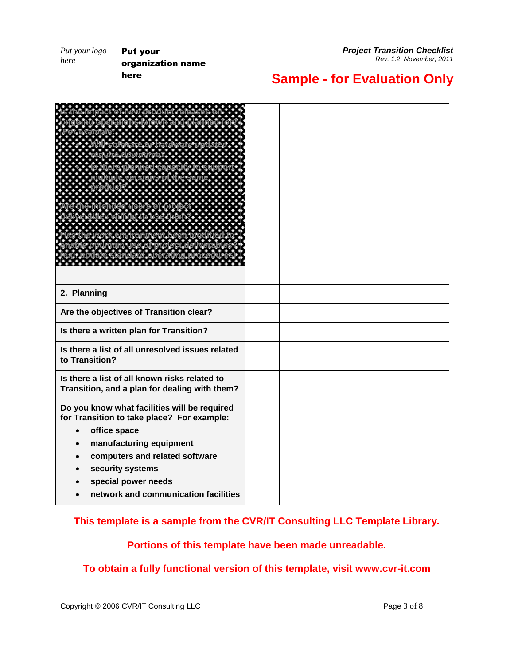Put your organization name here

*Project Transition Checklist Rev. 1.2 November, 2011*

### **Sample - for Evaluation Only**

| 2. Planning                                      |  |
|--------------------------------------------------|--|
| Are the objectives of Transition clear?          |  |
| Is there a written plan for Transition?          |  |
| Is there a list of all unresolved issues related |  |
| to Transition?                                   |  |
| Is there a list of all known risks related to    |  |
| Transition, and a plan for dealing with them?    |  |
| Do you know what facilities will be required     |  |
| for Transition to take place? For example:       |  |
| office space<br>manufacturing equipment          |  |
| computers and related software                   |  |
| security systems                                 |  |
| special power needs                              |  |
| network and communication facilities             |  |

#### **This template is a sample from the CVR/IT Consulting LLC Template Library.**

#### **Portions of this template have been made unreadable.**

### **To obtain a fully functional version of this template, visit www.cvr-it.com**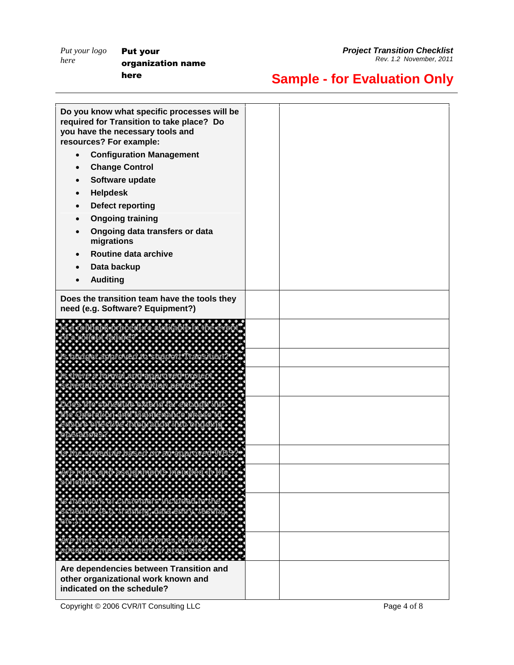Put your organization name here

*Project Transition Checklist Rev. 1.2 November, 2011*

# **Sample - for Evaluation Only**

|           | Do you know what specific processes will be<br>required for Transition to take place? Do<br>you have the necessary tools and<br>resources? For example: |  |
|-----------|---------------------------------------------------------------------------------------------------------------------------------------------------------|--|
| $\bullet$ | <b>Configuration Management</b>                                                                                                                         |  |
|           | <b>Change Control</b>                                                                                                                                   |  |
|           | Software update                                                                                                                                         |  |
|           | <b>Helpdesk</b>                                                                                                                                         |  |
|           | <b>Defect reporting</b>                                                                                                                                 |  |
|           | <b>Ongoing training</b>                                                                                                                                 |  |
|           | Ongoing data transfers or data<br>migrations                                                                                                            |  |
|           | Routine data archive                                                                                                                                    |  |
|           | Data backup                                                                                                                                             |  |
|           | <b>Auditing</b>                                                                                                                                         |  |
|           | Does the transition team have the tools they<br>need (e.g. Software? Equipment?)                                                                        |  |
|           | a a bheil                                                                                                                                               |  |
|           |                                                                                                                                                         |  |
|           |                                                                                                                                                         |  |
|           |                                                                                                                                                         |  |
|           |                                                                                                                                                         |  |
|           |                                                                                                                                                         |  |
|           |                                                                                                                                                         |  |
|           |                                                                                                                                                         |  |
|           |                                                                                                                                                         |  |
|           |                                                                                                                                                         |  |
|           |                                                                                                                                                         |  |
|           | Are dependencies between Transition and<br>other organizational work known and<br>indicated on the schedule?                                            |  |

Copyright © 2006 CVR/IT Consulting LLC Page 4 of 8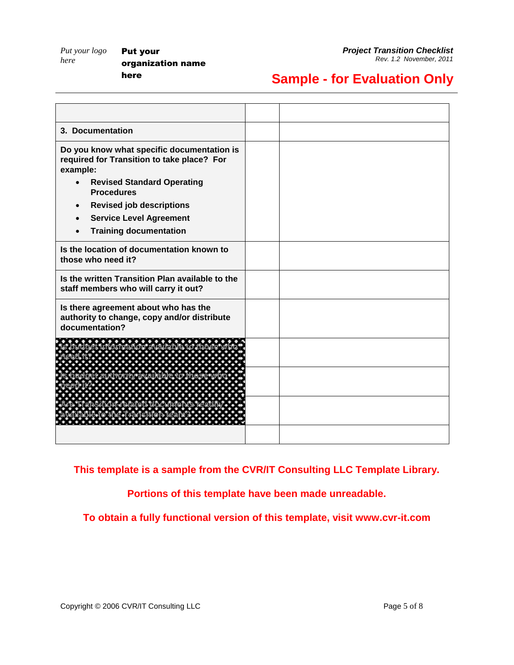### **Sample - for Evaluation Only**

| 3. Documentation                                                                                      |  |
|-------------------------------------------------------------------------------------------------------|--|
| Do you know what specific documentation is<br>required for Transition to take place? For<br>example:  |  |
| <b>Revised Standard Operating</b><br><b>Procedures</b>                                                |  |
| <b>Revised job descriptions</b>                                                                       |  |
| <b>Service Level Agreement</b>                                                                        |  |
| <b>Training documentation</b>                                                                         |  |
| Is the location of documentation known to<br>those who need it?                                       |  |
| Is the written Transition Plan available to the<br>staff members who will carry it out?               |  |
| Is there agreement about who has the<br>authority to change, copy and/or distribute<br>documentation? |  |
| .                                                                                                     |  |
|                                                                                                       |  |
|                                                                                                       |  |
|                                                                                                       |  |

**This template is a sample from the CVR/IT Consulting LLC Template Library.**

**Portions of this template have been made unreadable.**

**To obtain a fully functional version of this template, visit www.cvr-it.com**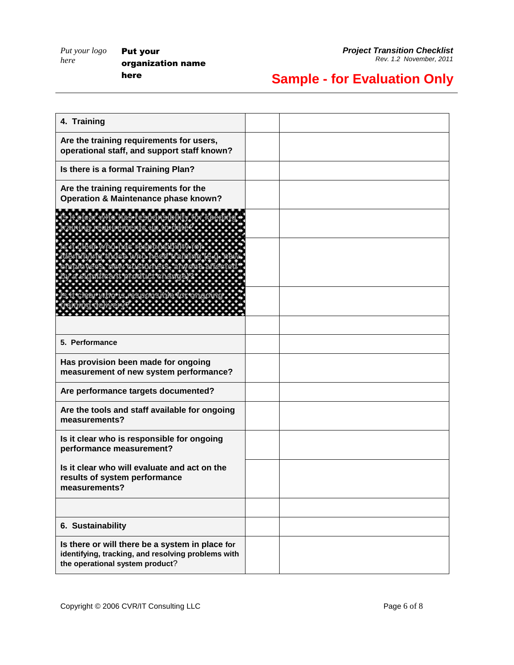# **Sample - for Evaluation Only**

| 4. Training                                                                                                                              |  |
|------------------------------------------------------------------------------------------------------------------------------------------|--|
| Are the training requirements for users,<br>operational staff, and support staff known?                                                  |  |
| Is there is a formal Training Plan?                                                                                                      |  |
| Are the training requirements for the<br>Operation & Maintenance phase known?                                                            |  |
|                                                                                                                                          |  |
| ana a                                                                                                                                    |  |
| * * * <i>* * * * *</i>                                                                                                                   |  |
| 5. Performance                                                                                                                           |  |
| Has provision been made for ongoing<br>measurement of new system performance?                                                            |  |
| Are performance targets documented?                                                                                                      |  |
| Are the tools and staff available for ongoing<br>measurements?                                                                           |  |
| Is it clear who is responsible for ongoing<br>performance measurement?                                                                   |  |
| Is it clear who will evaluate and act on the<br>results of system performance<br>measurements?                                           |  |
| 6. Sustainability                                                                                                                        |  |
| Is there or will there be a system in place for<br>identifying, tracking, and resolving problems with<br>the operational system product? |  |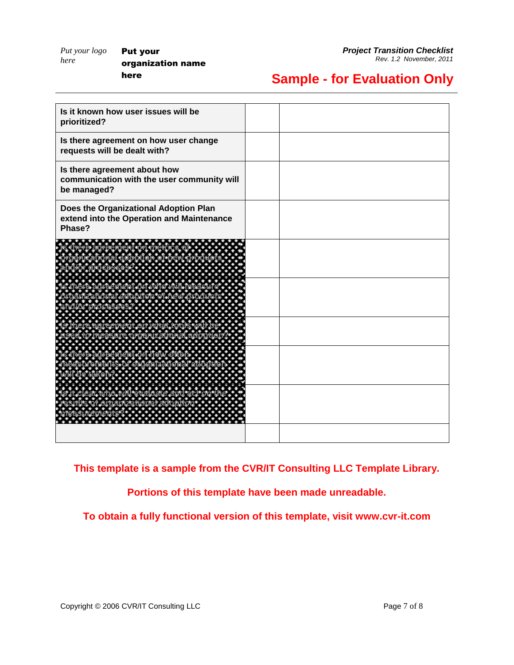Put your organization name here

## **Sample - for Evaluation Only**

| Is it known how user issues will be<br>prioritized?                                          |  |
|----------------------------------------------------------------------------------------------|--|
| Is there agreement on how user change<br>requests will be dealt with?                        |  |
| Is there agreement about how<br>communication with the user community will<br>be managed?    |  |
| Does the Organizational Adoption Plan<br>extend into the Operation and Maintenance<br>Phase? |  |
|                                                                                              |  |
|                                                                                              |  |
|                                                                                              |  |
|                                                                                              |  |
|                                                                                              |  |
|                                                                                              |  |

**This template is a sample from the CVR/IT Consulting LLC Template Library.**

**Portions of this template have been made unreadable.**

**To obtain a fully functional version of this template, visit www.cvr-it.com**